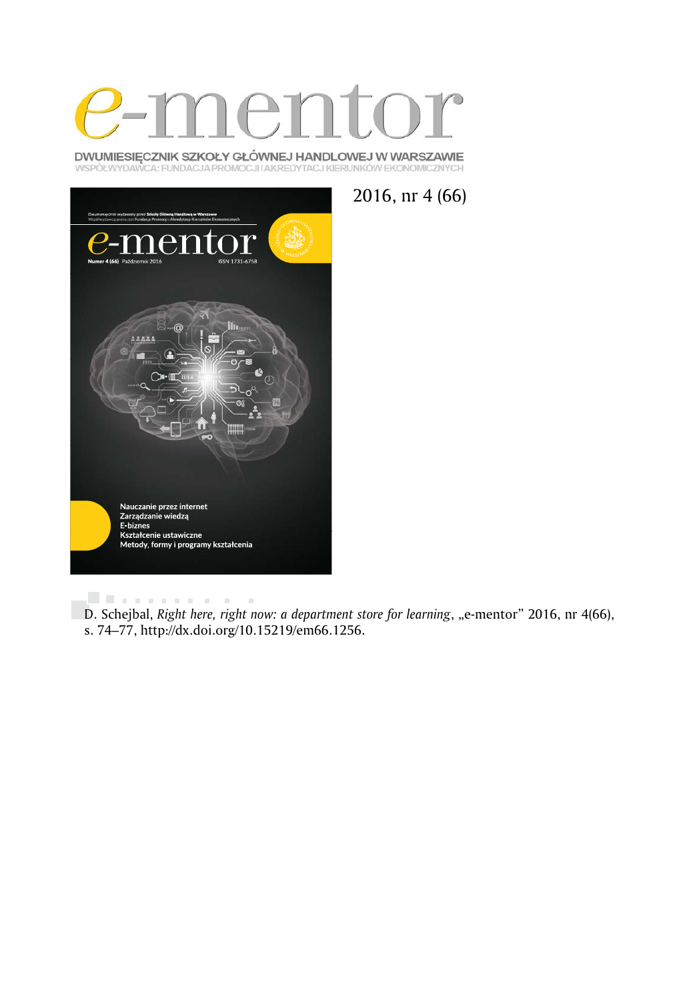

DWUMIESIĘCZNIK SZKOŁY GŁÓWNEJ HANDLOWEJ W WARSZAWIE WSPÓŁWYDAWCA: FUNDACJA PROMOCJI I AKREDYTACJ KIERUNKÓW EKONOMICZNYCH



2016, nr 4 (66)

. . . . . . . . . .  $\bar{a}$ D. Schejbal, *Right here, right now: a department store for learning*, "e-mentor" 2016, nr 4(66), s. 74–77, http://dx.doi.org/10.15219/em66.1256.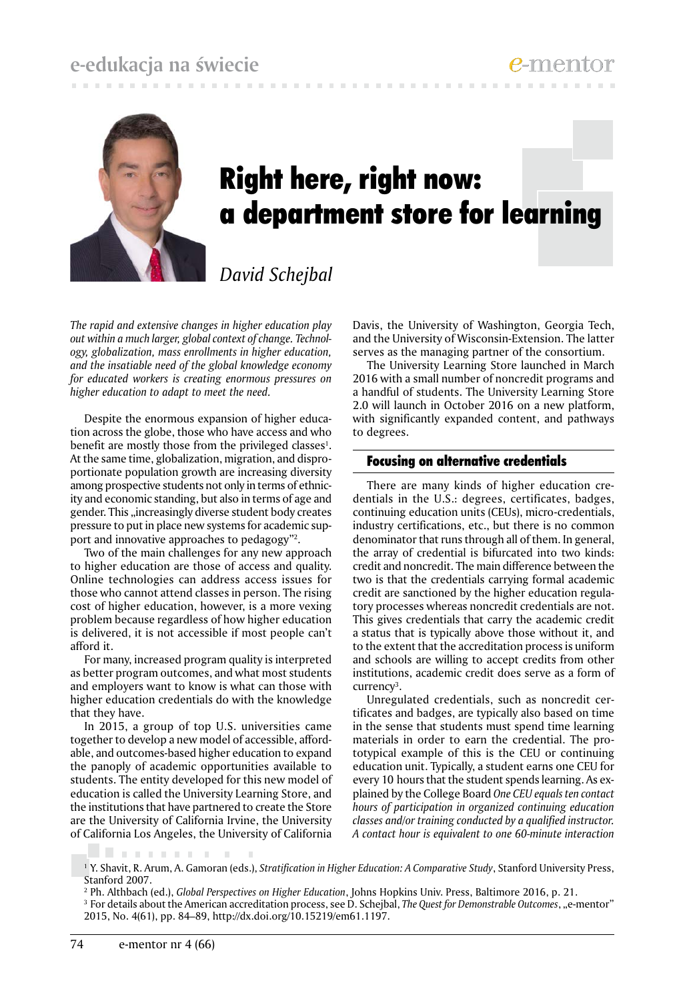# **e-edukacja na świecie**



# Right here, right now: a department store for learning

# *David Schejbal*

*The rapid and extensive changes in higher education play out within a much larger, global context of change. Technology, globalization, mass enrollments in higher education, and the insatiable need of the global knowledge economy for educated workers is creating enormous pressures on higher education to adapt to meet the need.* 

Despite the enormous expansion of higher education across the globe, those who have access and who benefit are mostly those from the privileged classes<sup>1</sup>. At the same time, globalization, migration, and disproportionate population growth are increasing diversity among prospective students not only in terms of ethnicity and economic standing, but also in terms of age and gender. This "increasingly diverse student body creates pressure to put in place new systems for academic support and innovative approaches to pedagogy"2 .

Two of the main challenges for any new approach to higher education are those of access and quality. Online technologies can address access issues for those who cannot attend classes in person. The rising cost of higher education, however, is a more vexing problem because regardless of how higher education is delivered, it is not accessible if most people can't afford it.

For many, increased program quality is interpreted as better program outcomes, and what most students and employers want to know is what can those with higher education credentials do with the knowledge that they have.

In 2015, a group of top U.S. universities came together to develop a new model of accessible, affordable, and outcomes-based higher education to expand the panoply of academic opportunities available to students. The entity developed for this new model of education is called the University Learning Store, and the institutions that have partnered to create the Store are the University of California Irvine, the University of California Los Angeles, the University of California

 $\mathcal{L}$ 

Davis, the University of Washington, Georgia Tech, and the University of Wisconsin-Extension. The latter serves as the managing partner of the consortium.

The University Learning Store launched in March 2016 with a small number of noncredit programs and a handful of students. The University Learning Store 2.0 will launch in October 2016 on a new platform, with significantly expanded content, and pathways to degrees.

## Focusing on alternative credentials

There are many kinds of higher education credentials in the U.S.: degrees, certificates, badges, continuing education units (CEUs), micro-credentials, industry certifications, etc., but there is no common denominator that runs through all of them. In general, the array of credential is bifurcated into two kinds: credit and noncredit. The main difference between the two is that the credentials carrying formal academic credit are sanctioned by the higher education regulatory processes whereas noncredit credentials are not. This gives credentials that carry the academic credit a status that is typically above those without it, and to the extent that the accreditation process is uniform and schools are willing to accept credits from other institutions, academic credit does serve as a form of currency<sup>3</sup>.

Unregulated credentials, such as noncredit certificates and badges, are typically also based on time in the sense that students must spend time learning materials in order to earn the credential. The prototypical example of this is the CEU or continuing education unit. Typically, a student earns one CEU for every 10 hours that the student spends learning. As explained by the College Board *One CEU equals ten contact hours of participation in organized continuing education classes and/or training conducted by a qualified instructor. A contact hour is equivalent to one 60-minute interaction* 

. . . . . .

<sup>1</sup> Y. Shavit, R. Arum, A. Gamoran (eds.), *Stratification in Higher Education: A Comparative Study*, Stanford University Press, Stanford 2007.

<sup>2</sup> Ph. Althbach (ed.), *Global Perspectives on Higher Education*, Johns Hopkins Univ. Press, Baltimore 2016, p. 21.

<sup>&</sup>lt;sup>3</sup> For details about the American accreditation process, see D. Schejbal, *The Quest for Demonstrable Outcomes*, "e-mentor" 2015, No. 4(61), pp. 84–89, http://dx.doi.org/10.15219/em61.1197.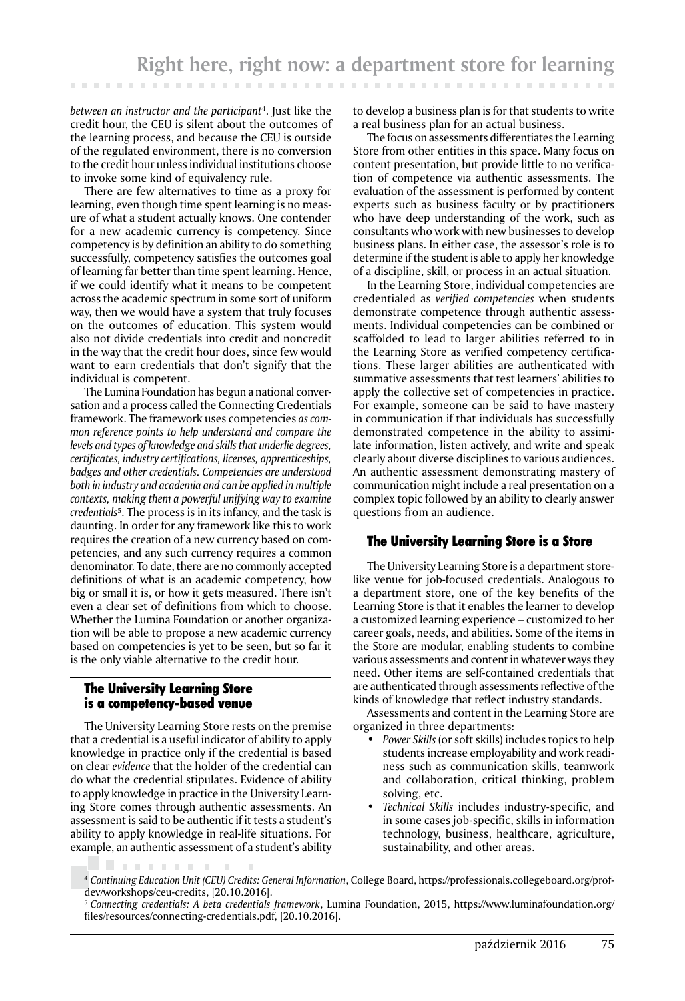**Contract Contract** 

*between an instructor and the participant*<sup>4</sup> . Just like the credit hour, the CEU is silent about the outcomes of the learning process, and because the CEU is outside of the regulated environment, there is no conversion to the credit hour unless individual institutions choose to invoke some kind of equivalency rule.

There are few alternatives to time as a proxy for learning, even though time spent learning is no measure of what a student actually knows. One contender for a new academic currency is competency. Since competency is by definition an ability to do something successfully, competency satisfies the outcomes goal of learning far better than time spent learning. Hence, if we could identify what it means to be competent across the academic spectrum in some sort of uniform way, then we would have a system that truly focuses on the outcomes of education. This system would also not divide credentials into credit and noncredit in the way that the credit hour does, since few would want to earn credentials that don't signify that the individual is competent.

The Lumina Foundation has begun a national conversation and a process called the Connecting Credentials framework. The framework uses competencies *as common reference points to help understand and compare the levels and types of knowledge and skills that underlie degrees, certificates, industry certifications, licenses, apprenticeships, badges and other credentials. Competencies are understood both in industry and academia and can be applied in multiple contexts, making them a powerful unifying way to examine credentials*<sup>5</sup> . The process is in its infancy, and the task is daunting. In order for any framework like this to work requires the creation of a new currency based on competencies, and any such currency requires a common denominator. To date, there are no commonly accepted definitions of what is an academic competency, how big or small it is, or how it gets measured. There isn't even a clear set of definitions from which to choose. Whether the Lumina Foundation or another organization will be able to propose a new academic currency based on competencies is yet to be seen, but so far it is the only viable alternative to the credit hour.

## The University Learning Store is a competency-based venue

The University Learning Store rests on the premise that a credential is a useful indicator of ability to apply knowledge in practice only if the credential is based on clear *evidence* that the holder of the credential can do what the credential stipulates. Evidence of ability to apply knowledge in practice in the University Learning Store comes through authentic assessments. An assessment is said to be authentic if it tests a student's ability to apply knowledge in real-life situations. For example, an authentic assessment of a student's ability

to develop a business plan is for that students to write a real business plan for an actual business.

The focus on assessments differentiates the Learning Store from other entities in this space. Many focus on content presentation, but provide little to no verification of competence via authentic assessments. The evaluation of the assessment is performed by content experts such as business faculty or by practitioners who have deep understanding of the work, such as consultants who work with new businesses to develop business plans. In either case, the assessor's role is to determine if the student is able to apply her knowledge of a discipline, skill, or process in an actual situation.

In the Learning Store, individual competencies are credentialed as *verified competencies* when students demonstrate competence through authentic assessments. Individual competencies can be combined or scaffolded to lead to larger abilities referred to in the Learning Store as verified competency certifications. These larger abilities are authenticated with summative assessments that test learners' abilities to apply the collective set of competencies in practice. For example, someone can be said to have mastery in communication if that individuals has successfully demonstrated competence in the ability to assimilate information, listen actively, and write and speak clearly about diverse disciplines to various audiences. An authentic assessment demonstrating mastery of communication might include a real presentation on a complex topic followed by an ability to clearly answer questions from an audience.

## The University Learning Store is a Store

The University Learning Store is a department storelike venue for job-focused credentials. Analogous to a department store, one of the key benefits of the Learning Store is that it enables the learner to develop a customized learning experience – customized to her career goals, needs, and abilities. Some of the items in the Store are modular, enabling students to combine various assessments and content in whatever ways they need. Other items are self-contained credentials that are authenticated through assessments reflective of the kinds of knowledge that reflect industry standards.

Assessments and content in the Learning Store are organized in three departments:

- *Power Skills* (or soft skills) includes topics to help students increase employability and work readiness such as communication skills, teamwork and collaboration, critical thinking, problem solving, etc.
- *Technical Skills* includes industry-specific, and in some cases job-specific, skills in information technology, business, healthcare, agriculture, sustainability, and other areas.

<sup>4</sup> *Continuing Education Unit (CEU) Credits: General Information*, College Board, https://professionals.collegeboard.org/profdev/workshops/ceu-credits, [20.10.2016].

<sup>5</sup>*Connecting credentials: A beta credentials framework*, Lumina Foundation, 2015, https://www.luminafoundation.org/ files/resources/connecting-credentials.pdf, [20.10.2016].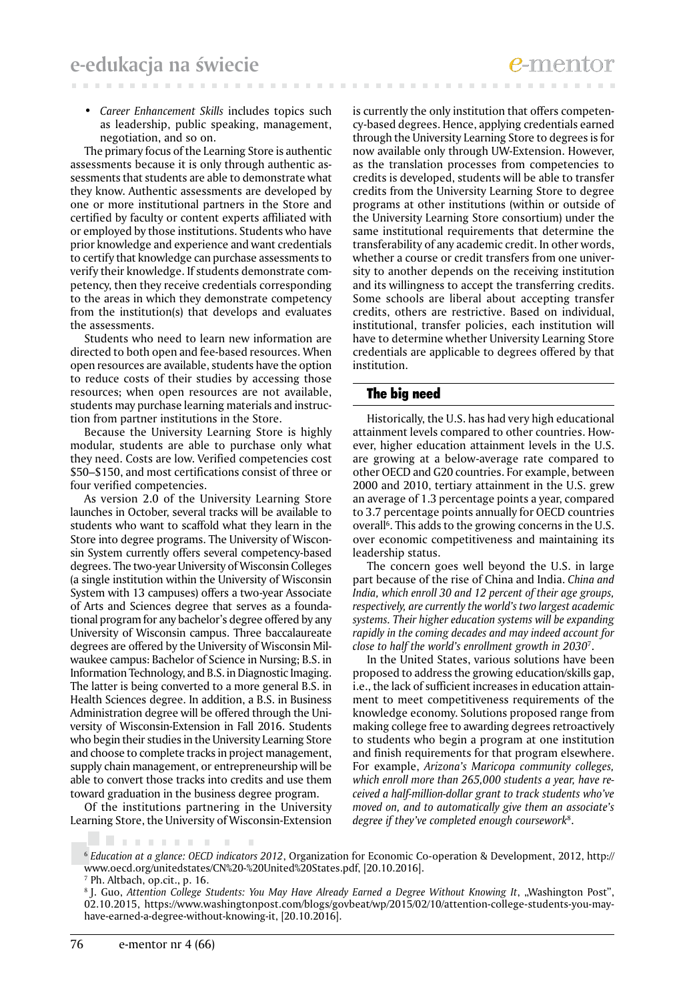*• Career Enhancement Skills* includes topics such as leadership, public speaking, management, negotiation, and so on.

The primary focus of the Learning Store is authentic assessments because it is only through authentic assessments that students are able to demonstrate what they know. Authentic assessments are developed by one or more institutional partners in the Store and certified by faculty or content experts affiliated with or employed by those institutions. Students who have prior knowledge and experience and want credentials to certify that knowledge can purchase assessments to verify their knowledge. If students demonstrate competency, then they receive credentials corresponding to the areas in which they demonstrate competency from the institution(s) that develops and evaluates the assessments.

Students who need to learn new information are directed to both open and fee-based resources. When open resources are available, students have the option to reduce costs of their studies by accessing those resources; when open resources are not available, students may purchase learning materials and instruction from partner institutions in the Store.

Because the University Learning Store is highly modular, students are able to purchase only what they need. Costs are low. Verified competencies cost \$50–\$150, and most certifications consist of three or four verified competencies.

As version 2.0 of the University Learning Store launches in October, several tracks will be available to students who want to scaffold what they learn in the Store into degree programs. The University of Wisconsin System currently offers several competency-based degrees. The two-year University of Wisconsin Colleges (a single institution within the University of Wisconsin System with 13 campuses) offers a two-year Associate of Arts and Sciences degree that serves as a foundational program for any bachelor's degree offered by any University of Wisconsin campus. Three baccalaureate degrees are offered by the University of Wisconsin Milwaukee campus: Bachelor of Science in Nursing; B.S. in Information Technology, and B.S. in Diagnostic Imaging. The latter is being converted to a more general B.S. in Health Sciences degree. In addition, a B.S. in Business Administration degree will be offered through the University of Wisconsin-Extension in Fall 2016. Students who begin their studies in the University Learning Store and choose to complete tracks in project management, supply chain management, or entrepreneurship will be able to convert those tracks into credits and use them toward graduation in the business degree program.

Of the institutions partnering in the University Learning Store, the University of Wisconsin-Extension

 $\pm 0$ 

is currently the only institution that offers competency-based degrees. Hence, applying credentials earned through the University Learning Store to degrees is for now available only through UW-Extension. However, as the translation processes from competencies to credits is developed, students will be able to transfer credits from the University Learning Store to degree programs at other institutions (within or outside of the University Learning Store consortium) under the same institutional requirements that determine the transferability of any academic credit. In other words, whether a course or credit transfers from one university to another depends on the receiving institution and its willingness to accept the transferring credits. Some schools are liberal about accepting transfer credits, others are restrictive. Based on individual, institutional, transfer policies, each institution will have to determine whether University Learning Store credentials are applicable to degrees offered by that institution.

#### The big need

Historically, the U.S. has had very high educational attainment levels compared to other countries. However, higher education attainment levels in the U.S. are growing at a below-average rate compared to other OECD and G20 countries. For example, between 2000 and 2010, tertiary attainment in the U.S. grew an average of 1.3 percentage points a year, compared to 3.7 percentage points annually for OECD countries overall<sup>6</sup>. This adds to the growing concerns in the U.S. over economic competitiveness and maintaining its leadership status.

The concern goes well beyond the U.S. in large part because of the rise of China and India. *China and India, which enroll 30 and 12 percent of their age groups, respectively, are currently the world's two largest academic systems. Their higher education systems will be expanding rapidly in the coming decades and may indeed account for close to half the world's enrollment growth in 2030*<sup>7</sup> .

In the United States, various solutions have been proposed to address the growing education/skills gap, i.e., the lack of sufficient increases in education attainment to meet competitiveness requirements of the knowledge economy. Solutions proposed range from making college free to awarding degrees retroactively to students who begin a program at one institution and finish requirements for that program elsewhere. For example, *Arizona's Maricopa community colleges, which enroll more than 265,000 students a year, have received a half-million-dollar grant to track students who've moved on, and to automatically give them an associate's degree if they've completed enough coursework*<sup>8</sup> .

. . . . . . .

<sup>6</sup>*Education at a glance: OECD indicators 2012*, Organization for Economic Co-operation & Development, 2012, http:// www.oecd.org/unitedstates/CN%20-%20United%20States.pdf, [20.10.2016].

<sup>7</sup> Ph. Altbach, op.cit., p. 16.

<sup>&</sup>lt;sup>8</sup> J. Guo, Attention College Students: You May Have Already Earned a Degree Without Knowing It, "Washington Post", 02.10.2015, https://www.washingtonpost.com/blogs/govbeat/wp/2015/02/10/attention-college-students-you-mayhave-earned-a-degree-without-knowing-it, [20.10.2016].